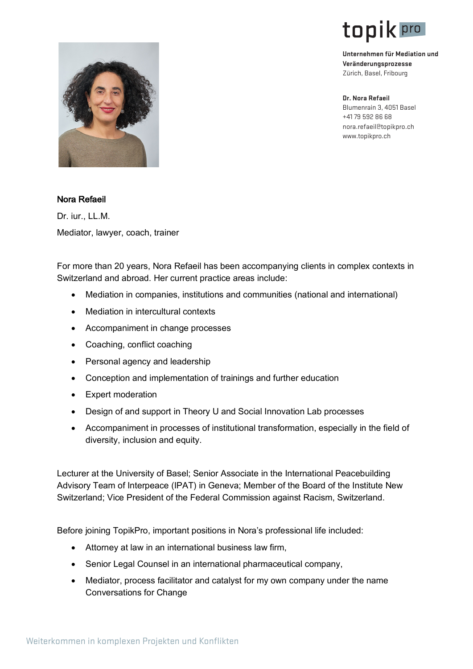

**Unternehmen für Mediation und Veränderungsprozesse**  Zürich, Basel, Fribourg

**Dr. Nora Refaeil**  Blumenrain 3, 4051 Basel +41 79 592 86 68 www.topikpro.ch nora.refaeil@topikpro.ch



## Nora Refaeil

Dr. iur., LL.M. Mediator, lawyer, coach, trainer

For more than 20 years, Nora Refaeil has been accompanying clients in complex contexts in Switzerland and abroad. Her current practice areas include:

- Mediation in companies, institutions and communities (national and international)
- Mediation in intercultural contexts
- Accompaniment in change processes
- Coaching, conflict coaching
- Personal agency and leadership
- Conception and implementation of trainings and further education
- Expert moderation
- Design of and support in Theory U and Social Innovation Lab processes
- Accompaniment in processes of institutional transformation, especially in the field of diversity, inclusion and equity.

Lecturer at the University of Basel; Senior Associate in the International Peacebuilding Advisory Team of Interpeace (IPAT) in Geneva; Member of the Board of the Institute New Switzerland; Vice President of the Federal Commission against Racism, Switzerland.

Before joining TopikPro, important positions in Nora's professional life included:

- Attorney at law in an international business law firm,
- Senior Legal Counsel in an international pharmaceutical company,
- Mediator, process facilitator and catalyst for my own company under the name Conversations for Change